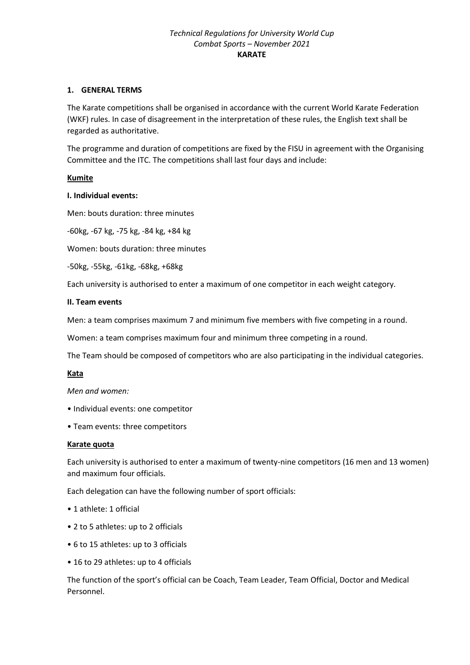### **1. GENERAL TERMS**

The Karate competitions shall be organised in accordance with the current World Karate Federation (WKF) rules. In case of disagreement in the interpretation of these rules, the English text shall be regarded as authoritative.

The programme and duration of competitions are fixed by the FISU in agreement with the Organising Committee and the ITC. The competitions shall last four days and include:

### **Kumite**

#### **I. Individual events:**

Men: bouts duration: three minutes

-60kg, -67 kg, -75 kg, -84 kg, +84 kg

Women: bouts duration: three minutes

-50kg, -55kg, -61kg, -68kg, +68kg

Each university is authorised to enter a maximum of one competitor in each weight category.

#### **II. Team events**

Men: a team comprises maximum 7 and minimum five members with five competing in a round.

Women: a team comprises maximum four and minimum three competing in a round.

The Team should be composed of competitors who are also participating in the individual categories.

#### **Kata**

*Men and women:* 

- Individual events: one competitor
- Team events: three competitors

#### **Karate quota**

Each university is authorised to enter a maximum of twenty-nine competitors (16 men and 13 women) and maximum four officials.

Each delegation can have the following number of sport officials:

- 1 athlete: 1 official
- 2 to 5 athletes: up to 2 officials
- 6 to 15 athletes: up to 3 officials
- 16 to 29 athletes: up to 4 officials

The function of the sport's official can be Coach, Team Leader, Team Official, Doctor and Medical Personnel.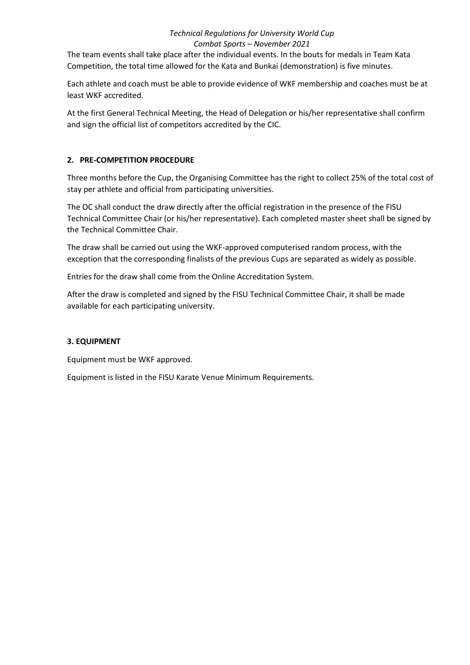The team events shall take place after the individual events. In the bouts for medals in Team Kata Competition, the total time allowed for the Kata and Bunkai (demonstration) is five minutes.

Each athlete and coach must be able to provide evidence of WKF membership and coaches must be at least WKF accredited.

At the first General Technical Meeting, the Head of Delegation or his/her representative shall confirm and sign the official list of competitors accredited by the CIC.

# **2. PRE-COMPETITION PROCEDURE**

Three months before the Cup, the Organising Committee has the right to collect 25% of the total cost of stay per athlete and official from participating universities.

The OC shall conduct the draw directly after the official registration in the presence of the FISU Technical Committee Chair (or his/her representative). Each completed master sheet shall be signed by the Technical Committee Chair.

The draw shall be carried out using the WKF-approved computerised random process, with the exception that the corresponding finalists of the previous Cups are separated as widely as possible.

Entries for the draw shall come from the Online Accreditation System.

After the draw is completed and signed by the FISU Technical Committee Chair, it shall be made available for each participating university.

# **3. EQUIPMENT**

Equipment must be WKF approved.

Equipment is listed in the FISU Karate Venue Minimum Requirements.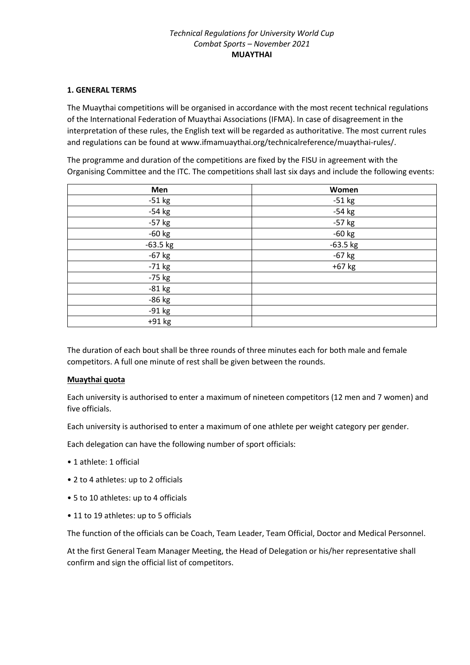#### **1. GENERAL TERMS**

The Muaythai competitions will be organised in accordance with the most recent technical regulations of the International Federation of Muaythai Associations (IFMA). In case of disagreement in the interpretation of these rules, the English text will be regarded as authoritative. The most current rules and regulations can be found at www.ifmamuaythai.org/technicalreference/muaythai-rules/.

The programme and duration of the competitions are fixed by the FISU in agreement with the Organising Committee and the ITC. The competitions shall last six days and include the following events:

| Men        | Women      |
|------------|------------|
| $-51$ kg   | $-51$ kg   |
| $-54$ kg   | $-54$ kg   |
| $-57$ kg   | $-57$ kg   |
| $-60$ kg   | $-60$ kg   |
| $-63.5$ kg | $-63.5$ kg |
| $-67$ kg   | $-67$ kg   |
| $-71$ kg   | +67 kg     |
| $-75$ kg   |            |
| $-81$ kg   |            |
| -86 kg     |            |
| $-91 kg$   |            |
| +91 kg     |            |

The duration of each bout shall be three rounds of three minutes each for both male and female competitors. A full one minute of rest shall be given between the rounds.

# **Muaythai quota**

Each university is authorised to enter a maximum of nineteen competitors (12 men and 7 women) and five officials.

Each university is authorised to enter a maximum of one athlete per weight category per gender.

Each delegation can have the following number of sport officials:

- 1 athlete: 1 official
- 2 to 4 athletes: up to 2 officials
- 5 to 10 athletes: up to 4 officials
- 11 to 19 athletes: up to 5 officials

The function of the officials can be Coach, Team Leader, Team Official, Doctor and Medical Personnel.

At the first General Team Manager Meeting, the Head of Delegation or his/her representative shall confirm and sign the official list of competitors.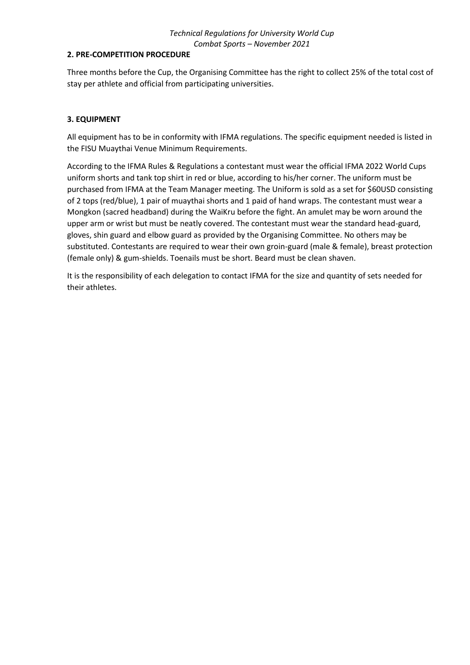### **2. PRE-COMPETITION PROCEDURE**

Three months before the Cup, the Organising Committee has the right to collect 25% of the total cost of stay per athlete and official from participating universities.

## **3. EQUIPMENT**

All equipment has to be in conformity with IFMA regulations. The specific equipment needed is listed in the FISU Muaythai Venue Minimum Requirements.

According to the IFMA Rules & Regulations a contestant must wear the official IFMA 2022 World Cups uniform shorts and tank top shirt in red or blue, according to his/her corner. The uniform must be purchased from IFMA at the Team Manager meeting. The Uniform is sold as a set for \$60USD consisting of 2 tops (red/blue), 1 pair of muaythai shorts and 1 paid of hand wraps. The contestant must wear a Mongkon (sacred headband) during the WaiKru before the fight. An amulet may be worn around the upper arm or wrist but must be neatly covered. The contestant must wear the standard head-guard, gloves, shin guard and elbow guard as provided by the Organising Committee. No others may be substituted. Contestants are required to wear their own groin-guard (male & female), breast protection (female only) & gum-shields. Toenails must be short. Beard must be clean shaven.

It is the responsibility of each delegation to contact IFMA for the size and quantity of sets needed for their athletes.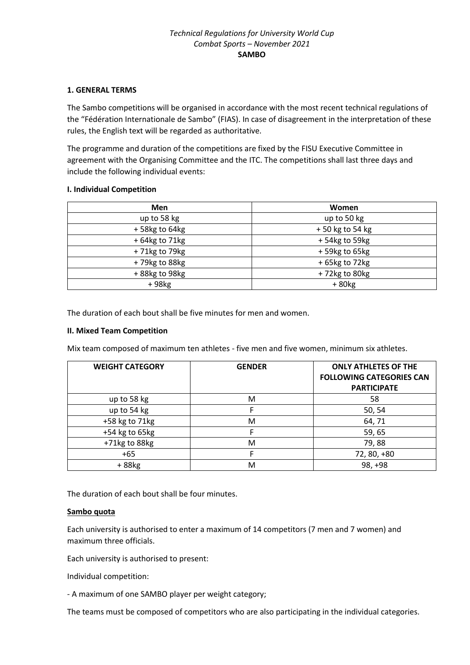### **1. GENERAL TERMS**

The Sambo competitions will be organised in accordance with the most recent technical regulations of the "Fédération Internationale de Sambo" (FIAS). In case of disagreement in the interpretation of these rules, the English text will be regarded as authoritative.

The programme and duration of the competitions are fixed by the FISU Executive Committee in agreement with the Organising Committee and the ITC. The competitions shall last three days and include the following individual events:

### **I. Individual Competition**

| <b>Men</b>        | Women           |  |  |
|-------------------|-----------------|--|--|
| up to 58 kg       | up to 50 kg     |  |  |
| +58kg to 64kg     | +50 kg to 54 kg |  |  |
| $+64$ kg to 71 kg | +54kg to 59kg   |  |  |
| +71kg to 79kg     | +59kg to 65kg   |  |  |
| +79kg to 88kg     | +65kg to 72kg   |  |  |
| +88kg to 98kg     | +72kg to 80kg   |  |  |
| +98kg             | $+80kg$         |  |  |

The duration of each bout shall be five minutes for men and women.

### **II. Mixed Team Competition**

Mix team composed of maximum ten athletes - five men and five women, minimum six athletes.

| <b>WEIGHT CATEGORY</b> | <b>GENDER</b> | <b>ONLY ATHLETES OF THE</b><br><b>FOLLOWING CATEGORIES CAN</b><br><b>PARTICIPATE</b> |
|------------------------|---------------|--------------------------------------------------------------------------------------|
| up to 58 kg            | M             | 58                                                                                   |
| up to 54 kg            |               | 50, 54                                                                               |
| +58 kg to 71 kg        | M             | 64,71                                                                                |
| +54 kg to 65kg         |               | 59,65                                                                                |
| +71kg to 88kg          | M             | 79,88                                                                                |
| $+65$                  |               | 72, 80, +80                                                                          |
| +88kg                  | м             | 98, +98                                                                              |

The duration of each bout shall be four minutes.

#### **Sambo quota**

Each university is authorised to enter a maximum of 14 competitors (7 men and 7 women) and maximum three officials.

Each university is authorised to present:

Individual competition:

- A maximum of one SAMBO player per weight category;

The teams must be composed of competitors who are also participating in the individual categories.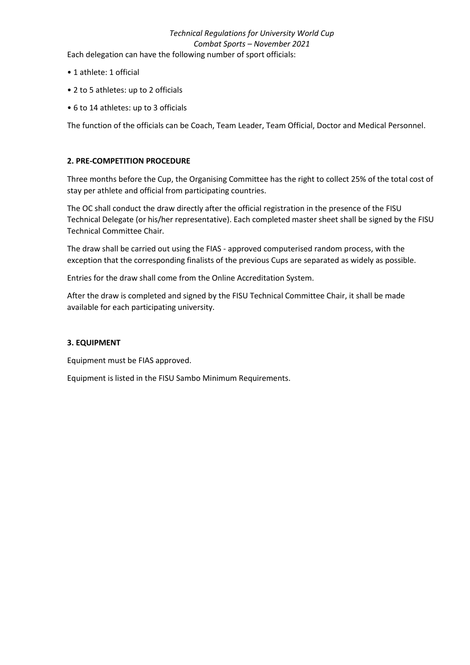Each delegation can have the following number of sport officials:

- 1 athlete: 1 official
- 2 to 5 athletes: up to 2 officials
- 6 to 14 athletes: up to 3 officials

The function of the officials can be Coach, Team Leader, Team Official, Doctor and Medical Personnel.

## **2. PRE-COMPETITION PROCEDURE**

Three months before the Cup, the Organising Committee has the right to collect 25% of the total cost of stay per athlete and official from participating countries.

The OC shall conduct the draw directly after the official registration in the presence of the FISU Technical Delegate (or his/her representative). Each completed master sheet shall be signed by the FISU Technical Committee Chair.

The draw shall be carried out using the FIAS - approved computerised random process, with the exception that the corresponding finalists of the previous Cups are separated as widely as possible.

Entries for the draw shall come from the Online Accreditation System.

After the draw is completed and signed by the FISU Technical Committee Chair, it shall be made available for each participating university.

#### **3. EQUIPMENT**

Equipment must be FIAS approved.

Equipment is listed in the FISU Sambo Minimum Requirements.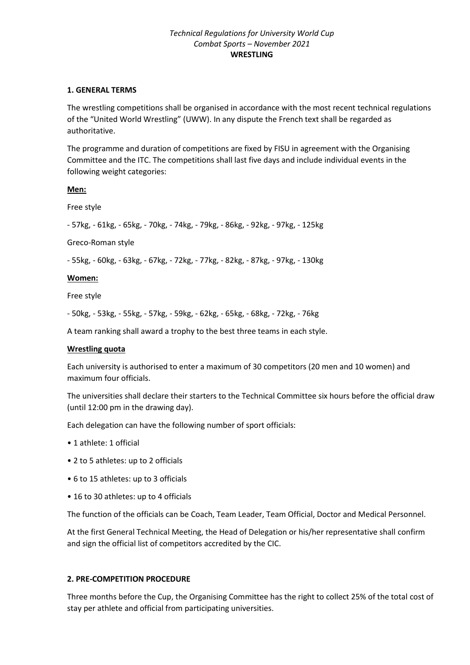#### **1. GENERAL TERMS**

The wrestling competitions shall be organised in accordance with the most recent technical regulations of the "United World Wrestling" (UWW). In any dispute the French text shall be regarded as authoritative.

The programme and duration of competitions are fixed by FISU in agreement with the Organising Committee and the ITC. The competitions shall last five days and include individual events in the following weight categories:

**Men:**

Free style

- 57kg, - 61kg, - 65kg, - 70kg, - 74kg, - 79kg, - 86kg, - 92kg, - 97kg, - 125kg

Greco-Roman style

- 55kg, - 60kg, - 63kg, - 67kg, - 72kg, - 77kg, - 82kg, - 87kg, - 97kg, - 130kg

#### **Women:**

Free style

- 50kg, - 53kg, - 55kg, - 57kg, - 59kg, - 62kg, - 65kg, - 68kg, - 72kg, - 76kg

A team ranking shall award a trophy to the best three teams in each style.

#### **Wrestling quota**

Each university is authorised to enter a maximum of 30 competitors (20 men and 10 women) and maximum four officials.

The universities shall declare their starters to the Technical Committee six hours before the official draw (until 12:00 pm in the drawing day).

Each delegation can have the following number of sport officials:

- 1 athlete: 1 official
- 2 to 5 athletes: up to 2 officials
- 6 to 15 athletes: up to 3 officials
- 16 to 30 athletes: up to 4 officials

The function of the officials can be Coach, Team Leader, Team Official, Doctor and Medical Personnel.

At the first General Technical Meeting, the Head of Delegation or his/her representative shall confirm and sign the official list of competitors accredited by the CIC.

#### **2. PRE-COMPETITION PROCEDURE**

Three months before the Cup, the Organising Committee has the right to collect 25% of the total cost of stay per athlete and official from participating universities.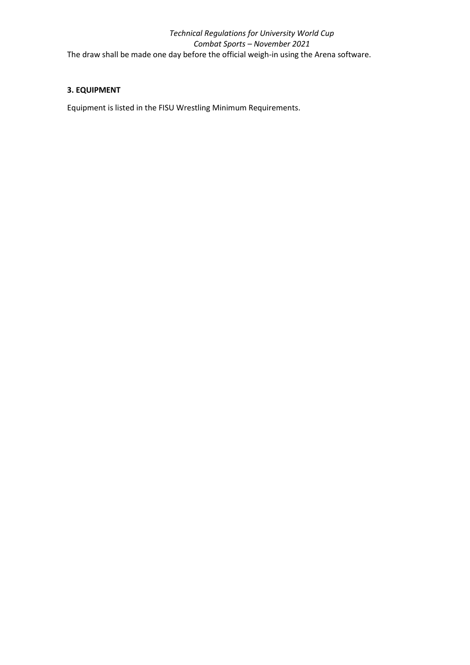# **3. EQUIPMENT**

Equipment is listed in the FISU Wrestling Minimum Requirements.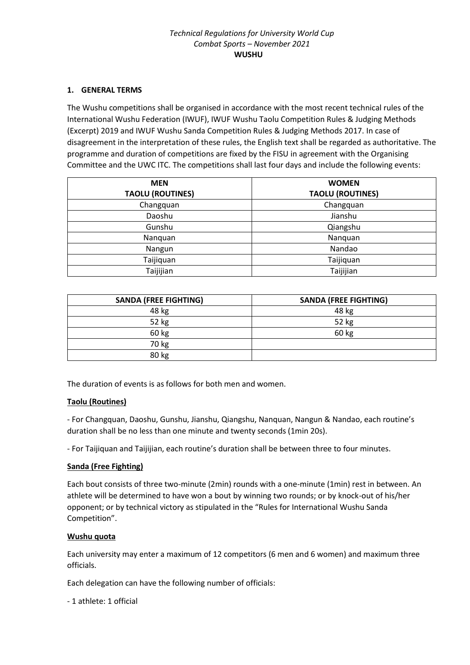# **1. GENERAL TERMS**

The Wushu competitions shall be organised in accordance with the most recent technical rules of the International Wushu Federation (IWUF), IWUF Wushu Taolu Competition Rules & Judging Methods (Excerpt) 2019 and IWUF Wushu Sanda Competition Rules & Judging Methods 2017. In case of disagreement in the interpretation of these rules, the English text shall be regarded as authoritative. The programme and duration of competitions are fixed by the FISU in agreement with the Organising Committee and the UWC ITC. The competitions shall last four days and include the following events:

| <b>MEN</b>              | <b>WOMEN</b><br><b>TAOLU (ROUTINES)</b> |  |  |
|-------------------------|-----------------------------------------|--|--|
| <b>TAOLU (ROUTINES)</b> |                                         |  |  |
| Changquan               | Changquan                               |  |  |
| Daoshu                  | Jianshu                                 |  |  |
| Gunshu                  | Qiangshu                                |  |  |
| Nanquan                 | Nanquan                                 |  |  |
| Nangun                  | Nandao                                  |  |  |
| Taijiquan               | Taijiquan                               |  |  |
| Taijijian               | Taijijian                               |  |  |

| <b>SANDA (FREE FIGHTING)</b> | <b>SANDA (FREE FIGHTING)</b> |  |  |
|------------------------------|------------------------------|--|--|
| 48 kg                        | 48 kg                        |  |  |
| 52 kg                        | 52 kg                        |  |  |
| 60 kg                        | 60 kg                        |  |  |
| 70 kg                        |                              |  |  |
| 80 kg                        |                              |  |  |

The duration of events is as follows for both men and women.

# **Taolu (Routines)**

- For Changquan, Daoshu, Gunshu, Jianshu, Qiangshu, Nanquan, Nangun & Nandao, each routine's duration shall be no less than one minute and twenty seconds (1min 20s).

- For Taijiquan and Taijijian, each routine's duration shall be between three to four minutes.

# **Sanda (Free Fighting)**

Each bout consists of three two-minute (2min) rounds with a one-minute (1min) rest in between. An athlete will be determined to have won a bout by winning two rounds; or by knock-out of his/her opponent; or by technical victory as stipulated in the "Rules for International Wushu Sanda Competition".

#### **Wushu quota**

Each university may enter a maximum of 12 competitors (6 men and 6 women) and maximum three officials.

Each delegation can have the following number of officials:

- 1 athlete: 1 official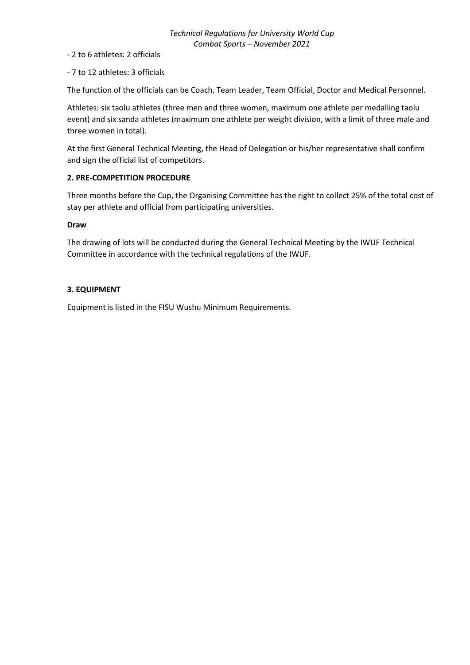- 2 to 6 athletes: 2 officials

- 7 to 12 athletes: 3 officials

The function of the officials can be Coach, Team Leader, Team Official, Doctor and Medical Personnel.

Athletes: six taolu athletes (three men and three women, maximum one athlete per medalling taolu event) and six sanda athletes (maximum one athlete per weight division, with a limit of three male and three women in total).

At the first General Technical Meeting, the Head of Delegation or his/her representative shall confirm and sign the official list of competitors.

### **2. PRE-COMPETITION PROCEDURE**

Three months before the Cup, the Organising Committee has the right to collect 25% of the total cost of stay per athlete and official from participating universities.

#### **Draw**

The drawing of lots will be conducted during the General Technical Meeting by the IWUF Technical Committee in accordance with the technical regulations of the IWUF.

### **3. EQUIPMENT**

Equipment is listed in the FISU Wushu Minimum Requirements.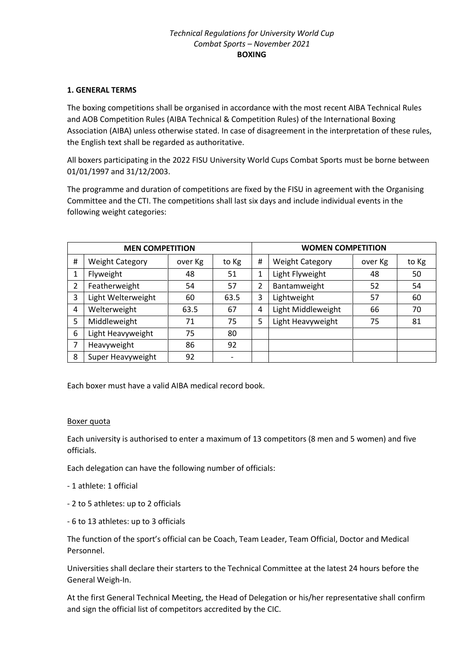## **1. GENERAL TERMS**

The boxing competitions shall be organised in accordance with the most recent AIBA Technical Rules and AOB Competition Rules (AIBA Technical & Competition Rules) of the International Boxing Association (AIBA) unless otherwise stated. In case of disagreement in the interpretation of these rules, the English text shall be regarded as authoritative.

All boxers participating in the 2022 FISU University World Cups Combat Sports must be borne between 01/01/1997 and 31/12/2003.

The programme and duration of competitions are fixed by the FISU in agreement with the Organising Committee and the CTI. The competitions shall last six days and include individual events in the following weight categories:

| <b>MEN COMPETITION</b> |                        |         | <b>WOMEN COMPETITION</b> |   |                        |         |       |
|------------------------|------------------------|---------|--------------------------|---|------------------------|---------|-------|
| #                      | <b>Weight Category</b> | over Kg | to Kg                    | # | <b>Weight Category</b> | over Kg | to Kg |
|                        | Flyweight              | 48      | 51                       | 1 | Light Flyweight        | 48      | 50    |
| 2                      | Featherweight          | 54      | 57                       | 2 | Bantamweight           | 52      | 54    |
| 3                      | Light Welterweight     | 60      | 63.5                     | 3 | Lightweight            | 57      | 60    |
| 4                      | Welterweight           | 63.5    | 67                       | 4 | Light Middleweight     | 66      | 70    |
| 5                      | Middleweight           | 71      | 75                       | 5 | Light Heavyweight      | 75      | 81    |
| 6                      | Light Heavyweight      | 75      | 80                       |   |                        |         |       |
|                        | Heavyweight            | 86      | 92                       |   |                        |         |       |
| 8                      | Super Heavyweight      | 92      | $\overline{\phantom{a}}$ |   |                        |         |       |

Each boxer must have a valid AIBA medical record book.

#### Boxer quota

Each university is authorised to enter a maximum of 13 competitors (8 men and 5 women) and five officials.

Each delegation can have the following number of officials:

- 1 athlete: 1 official
- 2 to 5 athletes: up to 2 officials
- 6 to 13 athletes: up to 3 officials

The function of the sport's official can be Coach, Team Leader, Team Official, Doctor and Medical Personnel.

Universities shall declare their starters to the Technical Committee at the latest 24 hours before the General Weigh-In.

At the first General Technical Meeting, the Head of Delegation or his/her representative shall confirm and sign the official list of competitors accredited by the CIC.